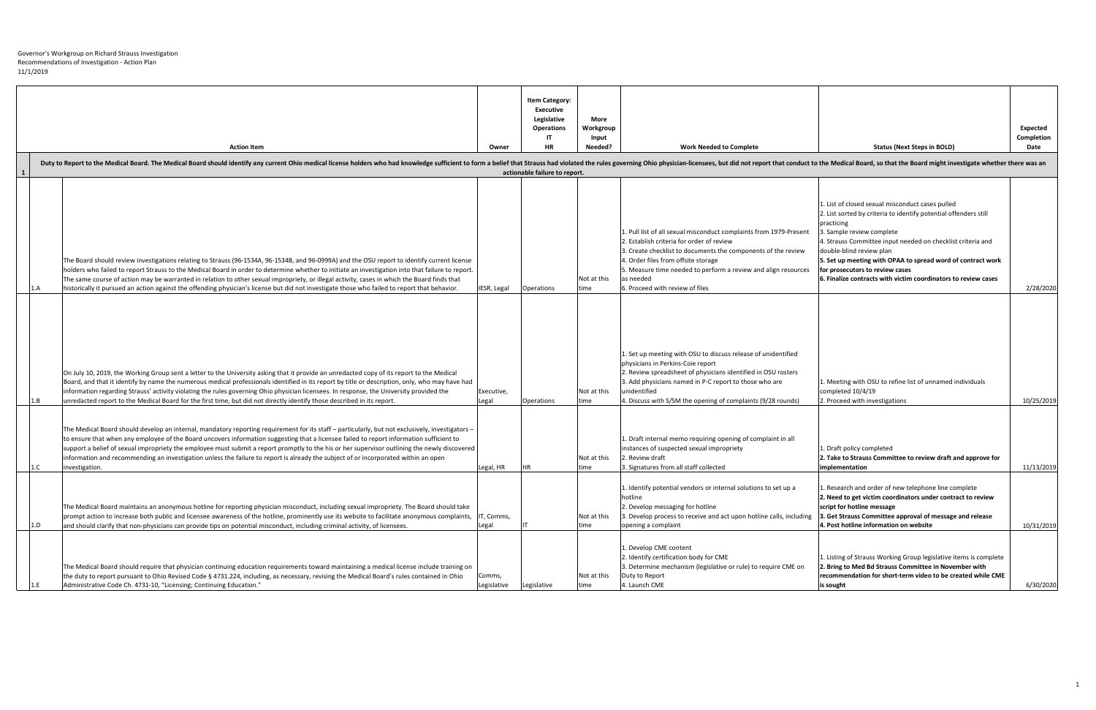|              | <b>Action Item</b><br>Duty to Report to the Medical Board. The Medical Board should identify any current Ohio medical license holders who had knowledge sufficient to form a belief that Strauss had violated the rules governing Ohio physician-lic                                                                                                                                                                                                                                                                                                                                                   | Owner                 | <b>Item Category:</b><br><b>Executive</b><br>Legislative<br><b>Operations</b><br>ШT<br><b>HR</b> | <b>More</b><br>Workgroup<br>Input<br>Needed? | <b>Work Needed to Complete</b>                                                                                                                                                                                                                                                                                                            | <b>Status (Next Steps in BOLD)</b>                                                                                                                                                                                                                                                                                                                                                                                             | Expected<br>Completion<br>Date |
|--------------|--------------------------------------------------------------------------------------------------------------------------------------------------------------------------------------------------------------------------------------------------------------------------------------------------------------------------------------------------------------------------------------------------------------------------------------------------------------------------------------------------------------------------------------------------------------------------------------------------------|-----------------------|--------------------------------------------------------------------------------------------------|----------------------------------------------|-------------------------------------------------------------------------------------------------------------------------------------------------------------------------------------------------------------------------------------------------------------------------------------------------------------------------------------------|--------------------------------------------------------------------------------------------------------------------------------------------------------------------------------------------------------------------------------------------------------------------------------------------------------------------------------------------------------------------------------------------------------------------------------|--------------------------------|
| $\mathbf{1}$ |                                                                                                                                                                                                                                                                                                                                                                                                                                                                                                                                                                                                        |                       | actionable failure to report.                                                                    |                                              |                                                                                                                                                                                                                                                                                                                                           |                                                                                                                                                                                                                                                                                                                                                                                                                                |                                |
|              | The Board should review investigations relating to Strauss (96-1534A, 96-1534B, and 96-0999A) and the OSU report to identify current license<br>holders who failed to report Strauss to the Medical Board in order to determine whether to initiate an investigation into that failure to report.<br>The same course of action may be warranted in relation to other sexual impropriety, or illegal activity, cases in which the Board finds that<br>historically it pursued an action against the offending physician's license but did not investigate those who failed to report that behavior.     | IESR, Legal           | Operations                                                                                       | Not at this<br>time                          | 1. Pull list of all sexual misconduct complaints from 1979-Present<br>2. Establish criteria for order of review<br>3. Create checklist to documents the components of the review<br>4. Order files from offsite storage<br>5. Measure time needed to perform a review and align resources<br>as needed<br>6. Proceed with review of files | 1. List of closed sexual misconduct cases pulled<br>2. List sorted by criteria to identify potential offenders still<br>practicing<br>3. Sample review complete<br>4. Strauss Committee input needed on checklist criteria and<br>double-blind review plan<br>5. Set up meeting with OPAA to spread word of contract work<br>for prosecutors to review cases<br>6. Finalize contracts with victim coordinators to review cases | 2/28/2020                      |
|              | On July 10, 2019, the Working Group sent a letter to the University asking that it provide an unredacted copy of its report to the Medical<br>Board, and that it identify by name the numerous medical professionals identified in its report by title or description, only, who may have had<br>information regarding Strauss' activity violating the rules governing Ohio physician licensees. In response, the University provided the<br>unredacted report to the Medical Board for the first time, but did not directly identify those described in its report.                                   | Executive,<br>Legal   | Operations                                                                                       | Not at this<br>time                          | 1. Set up meeting with OSU to discuss release of unidentified<br>physicians in Perkins-Coie report<br>2. Review spreadsheet of physicians identified in OSU rosters<br>3. Add physicians named in P-C report to those who are<br>unidentified<br>4. Discuss with S/SM the opening of complaints (9/28 rounds)                             | 1. Meeting with OSU to refine list of unnamed individuals<br>completed 10/4/19<br>2. Proceed with investigations                                                                                                                                                                                                                                                                                                               | 10/25/2019                     |
|              | - The Medical Board should develop an internal, mandatory reporting requirement for its staff – particularly, but not exclusively, investigators<br>to ensure that when any employee of the Board uncovers information suggesting that a licensee failed to report information sufficient to<br>support a belief of sexual impropriety the employee must submit a report promptly to the his or her supervisor outlining the newly discovered<br>information and recommending an investigation unless the failure to report is already the subject of or incorporated within an open<br>investigation. | Legal, HR             |                                                                                                  | Not at this<br>time                          | 1. Draft internal memo requiring opening of complaint in all<br>instances of suspected sexual impropriety<br>2. Review draft<br>3. Signatures from all staff collected                                                                                                                                                                    | 1. Draft policy completed<br>2. Take to Strauss Committee to review draft and approve for<br><b>Implementation</b>                                                                                                                                                                                                                                                                                                             | 11/13/2019                     |
| 1.D          | The Medical Board maintains an anonymous hotline for reporting physician misconduct, including sexual impropriety. The Board should take<br>prompt action to increase both public and licensee awareness of the hotline, prominently use its website to facilitate anonymous complaints,<br>and should clarify that non-physicians can provide tips on potential misconduct, including criminal activity, of licensees.                                                                                                                                                                                | IT, Comms,<br>Legal   |                                                                                                  | Not at this<br>time                          | 1. Identify potential vendors or internal solutions to set up a<br>hotline<br>2. Develop messaging for hotline<br>3. Develop process to receive and act upon hotline calls, including<br>opening a complaint                                                                                                                              | . Research and order of new telephone line complete<br>2. Need to get victim coordinators under contract to review<br>script for hotline message<br>3. Get Strauss Committee approval of message and release<br>4. Post hotline information on website                                                                                                                                                                         | 10/31/2019                     |
|              | The Medical Board should require that physician continuing education requirements toward maintaining a medical license include training on<br>the duty to report pursuant to Ohio Revised Code § 4731.224, including, as necessary, revising the Medical Board's rules contained in Ohio<br>Administrative Code Ch. 4731-10, "Licensing; Continuing Education."                                                                                                                                                                                                                                        | Comms,<br>Legislative | Legislative                                                                                      | Not at this<br>Itime                         | 1. Develop CME content<br>2. Identify certification body for CME<br>3. Determine mechanism (legislative or rule) to require CME on<br>Duty to Report<br>4. Launch CME                                                                                                                                                                     | 1. Listing of Strauss Working Group legislative items is complete<br>2. Bring to Med Bd Strauss Committee in November with<br>recommendation for short-term video to be created while CME<br>is sought                                                                                                                                                                                                                         | 6/30/2020                      |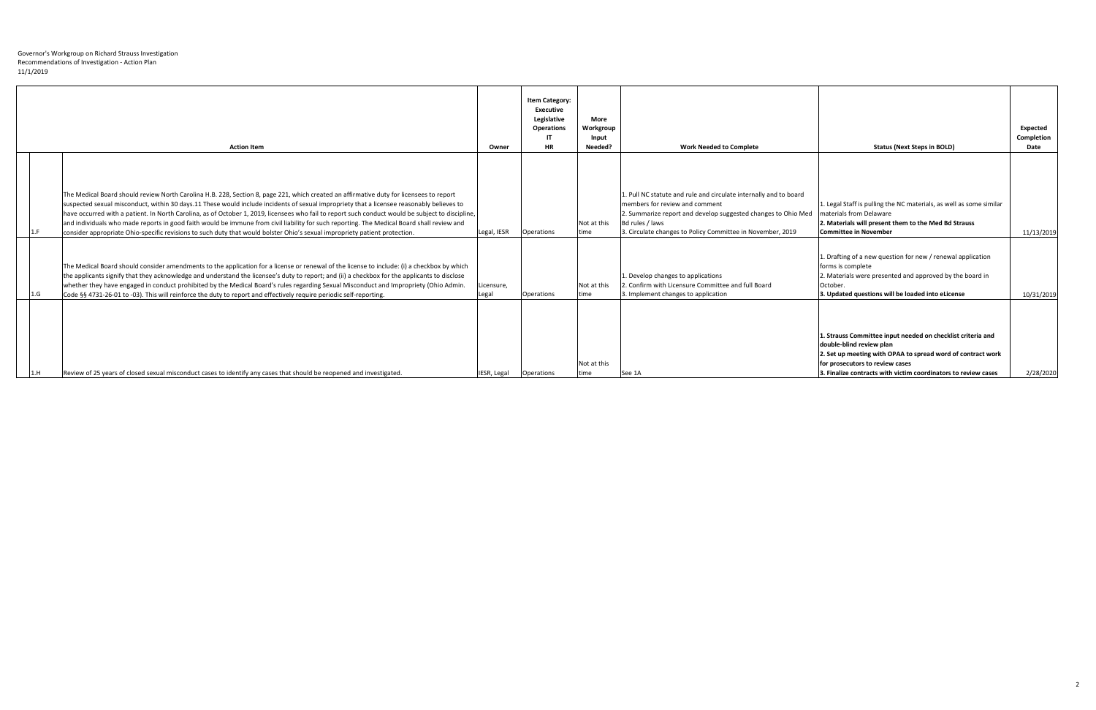|     | <b>Action Item</b>                                                                                                                                                                                                                                                                                                                                                                                                                                                                                                                                                                                                                                                                                                    | Owner               | <b>Item Category:</b><br><b>Executive</b><br>Legislative<br><b>Operations</b><br>-IT<br><b>HR</b> | <b>More</b><br>Workgroup<br>Input<br>Needed? | <b>Work Needed to Complete</b>                                                                                                                                                                                                                        | <b>Status (Next Steps in BOLD)</b>                                                                                                                                                                                                                          | <b>Expected</b><br>Completion<br>Date |
|-----|-----------------------------------------------------------------------------------------------------------------------------------------------------------------------------------------------------------------------------------------------------------------------------------------------------------------------------------------------------------------------------------------------------------------------------------------------------------------------------------------------------------------------------------------------------------------------------------------------------------------------------------------------------------------------------------------------------------------------|---------------------|---------------------------------------------------------------------------------------------------|----------------------------------------------|-------------------------------------------------------------------------------------------------------------------------------------------------------------------------------------------------------------------------------------------------------|-------------------------------------------------------------------------------------------------------------------------------------------------------------------------------------------------------------------------------------------------------------|---------------------------------------|
|     | The Medical Board should review North Carolina H.B. 228, Section 8, page 221, which created an affirmative duty for licensees to report<br>suspected sexual misconduct, within 30 days.11 These would include incidents of sexual impropriety that a licensee reasonably believes to<br>have occurred with a patient. In North Carolina, as of October 1, 2019, licensees who fail to report such conduct would be subject to discipline,<br>and individuals who made reports in good faith would be immune from civil liability for such reporting. The Medical Board shall review and<br>consider appropriate Ohio-specific revisions to such duty that would bolster Ohio's sexual impropriety patient protection. | Legal, IESR         | Operations                                                                                        | Not at this<br>time                          | 1. Pull NC statute and rule and circulate internally and to board<br>members for review and comment<br>2. Summarize report and develop suggested changes to Ohio Med<br>Bd rules / laws<br>3. Circulate changes to Policy Committee in November, 2019 | 1. Legal Staff is pulling the NC materials, as well as some similar<br>materials from Delaware<br>2. Materials will present them to the Med Bd Strauss<br><b>Committee in November</b>                                                                      | 11/13/2019                            |
| 1.G | The Medical Board should consider amendments to the application for a license or renewal of the license to include: (i) a checkbox by which<br>the applicants signify that they acknowledge and understand the licensee's duty to report; and (ii) a checkbox for the applicants to disclose<br>whether they have engaged in conduct prohibited by the Medical Board's rules regarding Sexual Misconduct and Impropriety (Ohio Admin.<br>Code §§ 4731-26-01 to -03). This will reinforce the duty to report and effectively require periodic self-reporting.                                                                                                                                                          | Licensure,<br>Legal | Operations                                                                                        | Not at this<br>time                          | 1. Develop changes to applications<br>2. Confirm with Licensure Committee and full Board<br>3. Implement changes to application                                                                                                                       | 1. Drafting of a new question for new / renewal application<br>forms is complete<br>2. Materials were presented and approved by the board in<br>October.<br>3. Updated questions will be loaded into eLicense                                               | 10/31/2019                            |
|     | Review of 25 years of closed sexual misconduct cases to identify any cases that should be reopened and investigated.                                                                                                                                                                                                                                                                                                                                                                                                                                                                                                                                                                                                  | IESR, Legal         | Operations                                                                                        | Not at this<br>time                          | See 1A                                                                                                                                                                                                                                                | 1. Strauss Committee input needed on checklist criteria and<br>double-blind review plan<br>2. Set up meeting with OPAA to spread word of contract work<br>for prosecutors to review cases<br>3. Finalize contracts with victim coordinators to review cases | 2/28/2020                             |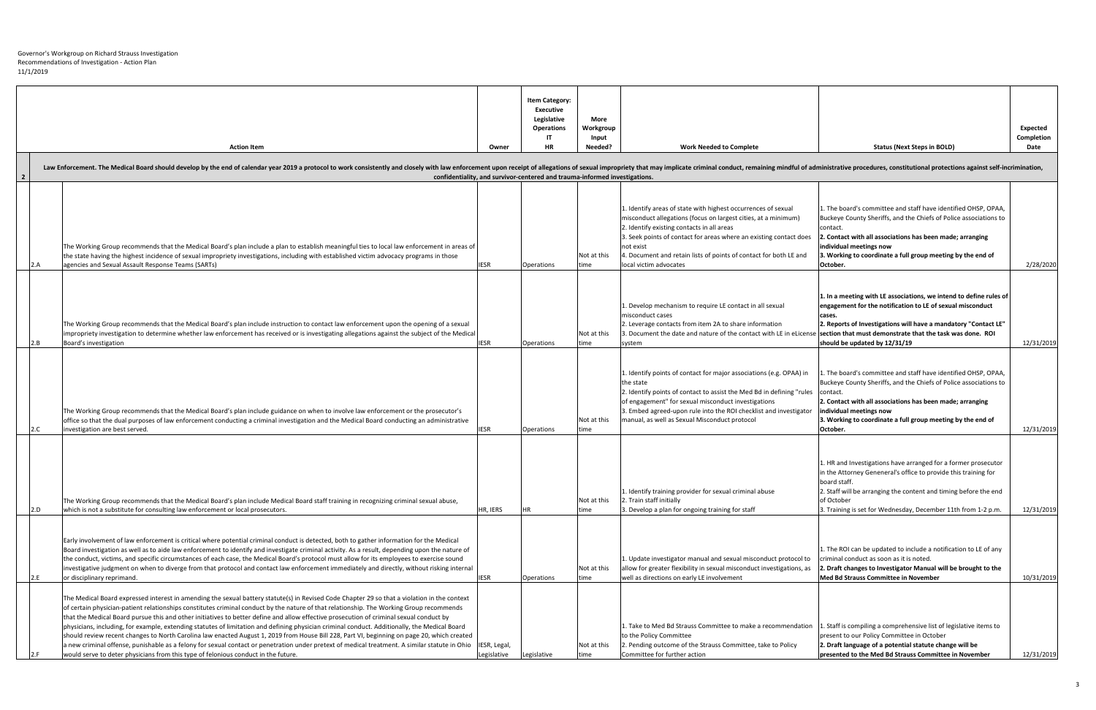|                |     | <b>Action Item</b>                                                                                                                                                                                                                                                                                                                                                                                                                                                                                                                                                                                                                                                                                                                                                                                                                                                                                                                                                          | Owner                       | <b>Item Category:</b><br><b>Executive</b><br>Legislative<br><b>Operations</b><br><b>HR</b> | <b>More</b><br>Workgroup<br>Input<br>Needed? | <b>Work Needed to Complete</b>                                                                                                                                                                                                                                                                                                                                                                        | <b>Status (Next Steps in BOLD)</b>                                                                                                                                                                                                                                                                                | Expected<br>Completion<br>Date |
|----------------|-----|-----------------------------------------------------------------------------------------------------------------------------------------------------------------------------------------------------------------------------------------------------------------------------------------------------------------------------------------------------------------------------------------------------------------------------------------------------------------------------------------------------------------------------------------------------------------------------------------------------------------------------------------------------------------------------------------------------------------------------------------------------------------------------------------------------------------------------------------------------------------------------------------------------------------------------------------------------------------------------|-----------------------------|--------------------------------------------------------------------------------------------|----------------------------------------------|-------------------------------------------------------------------------------------------------------------------------------------------------------------------------------------------------------------------------------------------------------------------------------------------------------------------------------------------------------------------------------------------------------|-------------------------------------------------------------------------------------------------------------------------------------------------------------------------------------------------------------------------------------------------------------------------------------------------------------------|--------------------------------|
|                |     | Law Enforcement. The Medical Board should develop by the end of calendar year 2019 a protocol to work consistently and closely with law enforcement upon receipt of allegations of sexual impropriety that may implicate crimi                                                                                                                                                                                                                                                                                                                                                                                                                                                                                                                                                                                                                                                                                                                                              |                             |                                                                                            |                                              |                                                                                                                                                                                                                                                                                                                                                                                                       |                                                                                                                                                                                                                                                                                                                   |                                |
| $\overline{2}$ |     | The Working Group recommends that the Medical Board's plan include a plan to establish meaningful ties to local law enforcement in areas of<br>the state having the highest incidence of sexual impropriety investigations, including with established victim advocacy programs in those<br>agencies and Sexual Assault Response Teams (SARTs)                                                                                                                                                                                                                                                                                                                                                                                                                                                                                                                                                                                                                              | <b>IESR</b>                 | confidentiality, and survivor-centered and trauma-informed investigations.<br>Operations   | Not at this                                  | 1. Identify areas of state with highest occurrences of sexual<br>misconduct allegations (focus on largest cities, at a minimum)<br>2. Identify existing contacts in all areas<br>3. Seek points of contact for areas where an existing contact does<br>not exist<br>4. Document and retain lists of points of contact for both LE and<br>local victim advocates                                       | 1. The board's committee and staff have identified OHSP, OPAA,<br>Buckeye County Sheriffs, and the Chiefs of Police associations to<br>contact.<br>. Contact with all associations has been made; arranging<br>individual meetings now<br>3. Working to coordinate a full group meeting by the end of<br>October. | 2/28/2020                      |
|                | 2.B | The Working Group recommends that the Medical Board's plan include instruction to contact law enforcement upon the opening of a sexual<br>impropriety investigation to determine whether law enforcement has received or is investigating allegations against the subject of the Medical<br>Board's investigation                                                                                                                                                                                                                                                                                                                                                                                                                                                                                                                                                                                                                                                           | <b>IESR</b>                 | Operations                                                                                 | Not at this<br>time                          | 1. Develop mechanism to require LE contact in all sexual<br>misconduct cases<br>2. Leverage contacts from item 2A to share information<br>3. Document the date and nature of the contact with LE in eLicense<br>system                                                                                                                                                                                | 1. In a meeting with LE associations, we intend to define rules of<br>engagement for the notification to LE of sexual misconduct<br>cases.<br>2. Reports of Investigations will have a mandatory "Contact LE"<br>section that must demonstrate that the task was done. ROI<br>should be updated by 12/31/19       | 12/31/2019                     |
|                |     | The Working Group recommends that the Medical Board's plan include guidance on when to involve law enforcement or the prosecutor's<br>office so that the dual purposes of law enforcement conducting a criminal investigation and the Medical Board conducting an administrative<br>investigation are best served                                                                                                                                                                                                                                                                                                                                                                                                                                                                                                                                                                                                                                                           | <b>IESR</b>                 | Operations                                                                                 | Not at this<br>time                          | 1. Identify points of contact for major associations (e.g. OPAA) in 1. The board's committee and staff have identified OHSP, OPAA,<br>the state<br>2. Identify points of contact to assist the Med Bd in defining "rules<br>of engagement" for sexual misconduct investigations<br>3. Embed agreed-upon rule into the ROI checklist and investigator<br>manual, as well as Sexual Misconduct protocol | Buckeye County Sheriffs, and the Chiefs of Police associations to<br>contact.<br>2. Contact with all associations has been made; arranging<br>individual meetings now<br>3. Working to coordinate a full group meeting by the end of<br>October.                                                                  | 12/31/2019                     |
|                | 2.D | The Working Group recommends that the Medical Board's plan include Medical Board staff training in recognizing criminal sexual abuse,<br>which is not a substitute for consulting law enforcement or local prosecutors.                                                                                                                                                                                                                                                                                                                                                                                                                                                                                                                                                                                                                                                                                                                                                     | HR, IERS                    |                                                                                            | Not at this<br>time                          | 1. Identify training provider for sexual criminal abuse<br>2. Train staff initially<br>3. Develop a plan for ongoing training for staff                                                                                                                                                                                                                                                               | L. HR and Investigations have arranged for a former prosecutor<br>in the Attorney Geneneral's office to provide this training for<br>board staff.<br>2. Staff will be arranging the content and timing before the end<br>of October<br>3. Training is set for Wednesday, December 11th from 1-2 p.m.              | 12/31/2019                     |
|                |     | Early involvement of law enforcement is critical where potential criminal conduct is detected, both to gather information for the Medical<br>Board investigation as well as to aide law enforcement to identify and investigate criminal activity. As a result, depending upon the nature of<br>the conduct, victims, and specific circumstances of each case, the Medical Board's protocol must allow for its employees to exercise sound<br>investigative judgment on when to diverge from that protocol and contact law enforcement immediately and directly, without risking internal<br>or disciplinary reprimand.                                                                                                                                                                                                                                                                                                                                                     | <b>IESR</b>                 | Operations                                                                                 | Not at this<br>time                          | 1. Update investigator manual and sexual misconduct protocol to<br>allow for greater flexibility in sexual misconduct investigations, as<br>well as directions on early LE involvement                                                                                                                                                                                                                | 1. The ROI can be updated to include a notification to LE of any<br>criminal conduct as soon as it is noted.<br>2. Draft changes to Investigator Manual will be brought to the<br>Med Bd Strauss Committee in November                                                                                            | 10/31/2019                     |
|                |     | The Medical Board expressed interest in amending the sexual battery statute(s) in Revised Code Chapter 29 so that a violation in the context<br>of certain physician-patient relationships constitutes criminal conduct by the nature of that relationship. The Working Group recommends<br>that the Medical Board pursue this and other initiatives to better define and allow effective prosecution of criminal sexual conduct by<br>physicians, including, for example, extending statutes of limitation and defining physician criminal conduct. Additionally, the Medical Board<br>should review recent changes to North Carolina law enacted August 1, 2019 from House Bill 228, Part VI, beginning on page 20, which created<br>a new criminal offense, punishable as a felony for sexual contact or penetration under pretext of medical treatment. A similar statute in Ohio<br>would serve to deter physicians from this type of felonious conduct in the future. | IESR, Legal,<br>Legislative | Legislative                                                                                | Not at this<br>time                          | 1. Take to Med Bd Strauss Committee to make a recommendation<br>to the Policy Committee<br>2. Pending outcome of the Strauss Committee, take to Policy<br>Committee for further action                                                                                                                                                                                                                | 1. Staff is compiling a comprehensive list of legislative items to<br>present to our Policy Committee in October<br>2. Draft language of a potential statute change will be<br>presented to the Med Bd Strauss Committee in November                                                                              | 12/31/2019                     |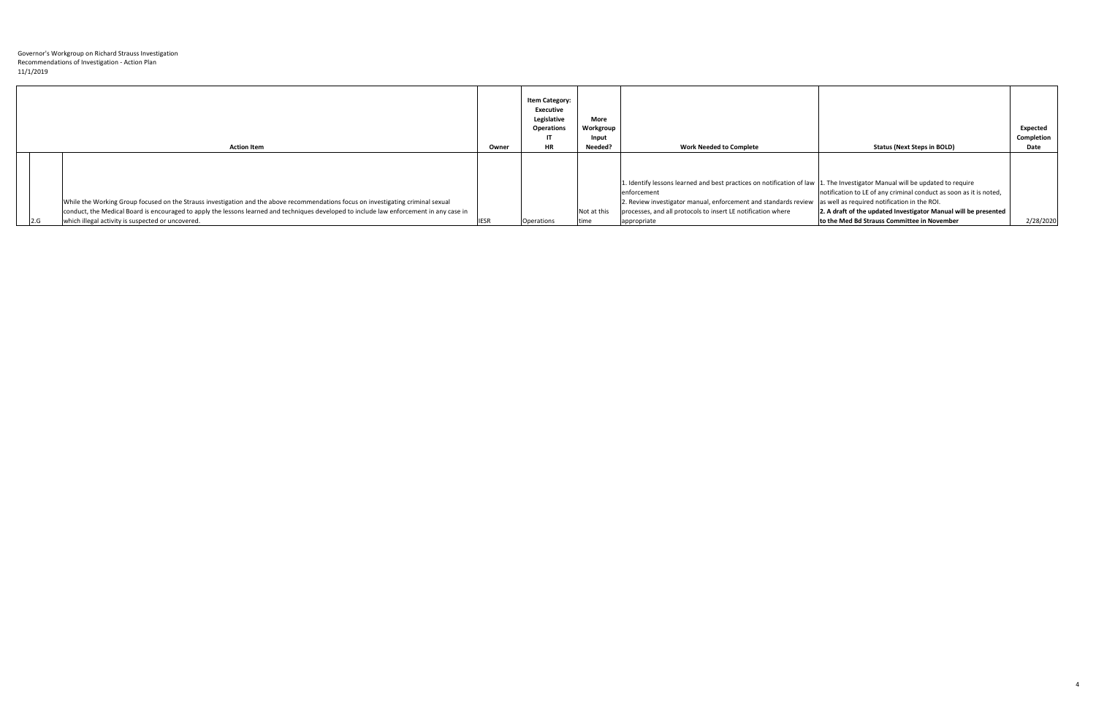|     | <b>Action Item</b>                                                                                                                       | Owner       | <b>Item Category:</b><br><b>Executive</b><br>Legislative<br><b>Operations</b><br>IT<br><b>HR</b> | <b>More</b><br>Workgroup<br>Input<br>Needed? | <b>Work Needed to Complete</b>                                                                                              | <b>Status (Next Steps in BOLD)</b>                                 | Expected<br>Completion<br>Date |
|-----|------------------------------------------------------------------------------------------------------------------------------------------|-------------|--------------------------------------------------------------------------------------------------|----------------------------------------------|-----------------------------------------------------------------------------------------------------------------------------|--------------------------------------------------------------------|--------------------------------|
|     |                                                                                                                                          |             |                                                                                                  |                                              |                                                                                                                             |                                                                    |                                |
|     |                                                                                                                                          |             |                                                                                                  |                                              | 1. Identify lessons learned and best practices on notification of law 1. The Investigator Manual will be updated to require |                                                                    |                                |
|     |                                                                                                                                          |             |                                                                                                  |                                              | enforcement                                                                                                                 | notification to LE of any criminal conduct as soon as it is noted, |                                |
|     | While the Working Group focused on the Strauss investigation and the above recommendations focus on investigating criminal sexual        |             |                                                                                                  |                                              | 2. Review investigator manual, enforcement and standards review as well as required notification in the ROI.                |                                                                    |                                |
|     | conduct, the Medical Board is encouraged to apply the lessons learned and techniques developed to include law enforcement in any case in |             |                                                                                                  | Not at this                                  | processes, and all protocols to insert LE notification where                                                                | 2. A draft of the updated Investigator Manual will be presented    |                                |
| 2.G | which illegal activity is suspected or uncovered.                                                                                        | <b>IESR</b> | Operations                                                                                       |                                              | appropriate                                                                                                                 | to the Med Bd Strauss Committee in November                        | 2/28/2020                      |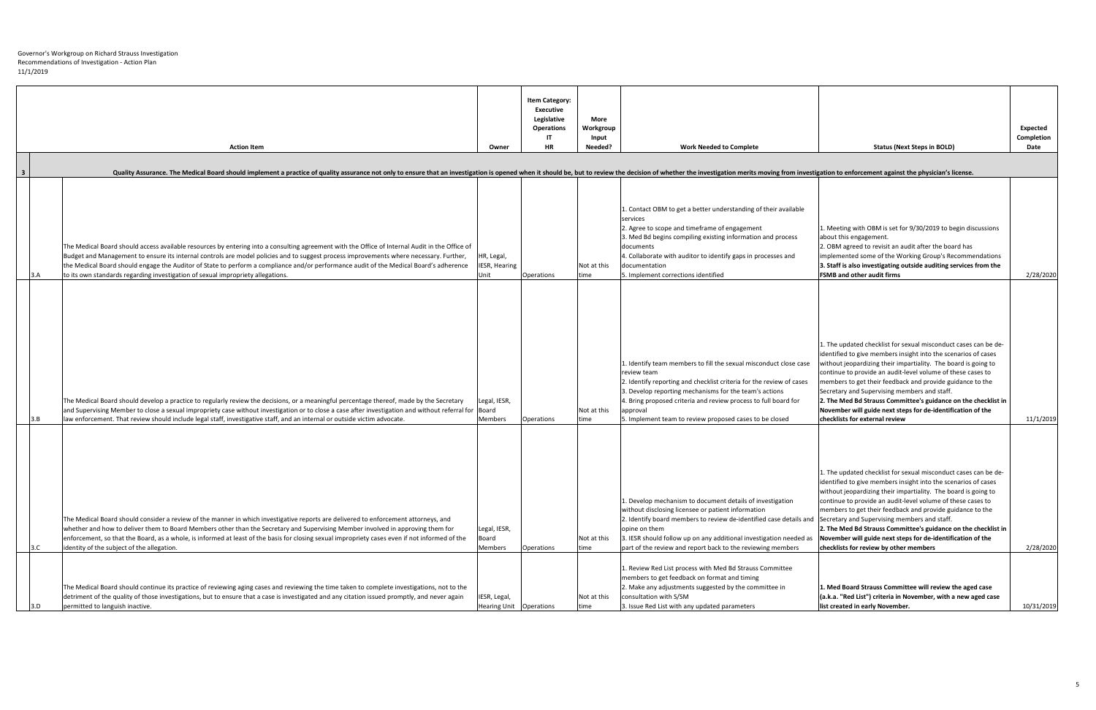|     | <b>Action Item</b>                                                                                                                                                                                                                                                                                                                                                                                                                                                                                                            | Owner                                     | <b>Item Category:</b><br><b>Executive</b><br>Legislative<br><b>Operations</b><br><b>HR</b> | More<br>Workgroup<br>Input<br>Needed? | <b>Work Needed to Complete</b>                                                                                                                                                                                                                                                                                                                               | <b>Status (Next Steps in BOLD)</b>                                                                                                                                                                                                                                                                                                                                                                                                                                                                                                                         | Expected<br>Completion<br>Date |
|-----|-------------------------------------------------------------------------------------------------------------------------------------------------------------------------------------------------------------------------------------------------------------------------------------------------------------------------------------------------------------------------------------------------------------------------------------------------------------------------------------------------------------------------------|-------------------------------------------|--------------------------------------------------------------------------------------------|---------------------------------------|--------------------------------------------------------------------------------------------------------------------------------------------------------------------------------------------------------------------------------------------------------------------------------------------------------------------------------------------------------------|------------------------------------------------------------------------------------------------------------------------------------------------------------------------------------------------------------------------------------------------------------------------------------------------------------------------------------------------------------------------------------------------------------------------------------------------------------------------------------------------------------------------------------------------------------|--------------------------------|
|     |                                                                                                                                                                                                                                                                                                                                                                                                                                                                                                                               |                                           |                                                                                            |                                       |                                                                                                                                                                                                                                                                                                                                                              |                                                                                                                                                                                                                                                                                                                                                                                                                                                                                                                                                            |                                |
| - 3 | Quality Assurance. The Medical Board should implement a practice of quality assurance not only to ensure that an investigation is opened when it should be, but to review the decision of whether the investigation merits mov                                                                                                                                                                                                                                                                                                |                                           |                                                                                            |                                       |                                                                                                                                                                                                                                                                                                                                                              |                                                                                                                                                                                                                                                                                                                                                                                                                                                                                                                                                            |                                |
|     | The Medical Board should access available resources by entering into a consulting agreement with the Office of Internal Audit in the Office of<br>Budget and Management to ensure its internal controls are model policies and to suggest process improvements where necessary. Further,<br>the Medical Board should engage the Auditor of State to perform a compliance and/or performance audit of the Medical Board's adherence<br>to its own standards regarding investigation of sexual impropriety allegations.<br> 3.A | HR, Legal,<br>IESR, Hearing<br>Unit       | Operations                                                                                 | Not at this<br>time                   | Contact OBM to get a better understanding of their available<br>services<br>2. Agree to scope and timeframe of engagement<br>3. Med Bd begins compiling existing information and process<br>documents<br>4. Collaborate with auditor to identify gaps in processes and<br>documentation<br>5. Implement corrections identified                               | 1. Meeting with OBM is set for 9/30/2019 to begin discussions<br>about this engagement.<br>2. OBM agreed to revisit an audit after the board has<br>implemented some of the Working Group's Recommendations<br>3. Staff is also investigating outside auditing services from the<br><b>FSMB</b> and other audit firms                                                                                                                                                                                                                                      | 2/28/2020                      |
|     | The Medical Board should develop a practice to regularly review the decisions, or a meaningful percentage thereof, made by the Secretary<br>and Supervising Member to close a sexual impropriety case without investigation or to close a case after investigation and without referral for  Board <br>law enforcement. That review should include legal staff, investigative staff, and an internal or outside victim advocate.<br> 3.B                                                                                      | Legal, IESR,<br>Members                   | <b>Operations</b>                                                                          | Not at this<br>time                   | L. Identify team members to fill the sexual misconduct close case<br>review team<br>2. Identify reporting and checklist criteria for the review of cases<br>3. Develop reporting mechanisms for the team's actions<br>4. Bring proposed criteria and review process to full board for<br>approval<br>5. Implement team to review proposed cases to be closed | L. The updated checklist for sexual misconduct cases can be de-<br>lidentified to give members insight into the scenarios of cases<br>without jeopardizing their impartiality. The board is going to<br>continue to provide an audit-level volume of these cases to<br>members to get their feedback and provide guidance to the<br>Secretary and Supervising members and staff.<br>2. The Med Bd Strauss Committee's guidance on the checklist in<br>November will guide next steps for de-identification of the<br>checklists for external review        | 11/1/2019                      |
|     | The Medical Board should consider a review of the manner in which investigative reports are delivered to enforcement attorneys, and<br>whether and how to deliver them to Board Members other than the Secretary and Supervising Member involved in approving them for<br>enforcement, so that the Board, as a whole, is informed at least of the basis for closing sexual impropriety cases even if not informed of the<br>identity of the subject of the allegation.<br> 3.C                                                | Legal, IESR,<br><b>Board</b><br>Members   | <b>Operations</b>                                                                          | Not at this<br>time                   | 1. Develop mechanism to document details of investigation<br>without disclosing licensee or patient information<br>2. Identify board members to review de-identified case details and<br>opine on them<br>3. IESR should follow up on any additional investigation needed as<br>part of the review and report back to the reviewing members                  | 1. The updated checklist for sexual misconduct cases can be de-<br>identified to give members insight into the scenarios of cases<br>without jeopardizing their impartiality. The board is going to<br>continue to provide an audit-level volume of these cases to<br>members to get their feedback and provide guidance to the<br>Secretary and Supervising members and staff.<br>2. The Med Bd Strauss Committee's guidance on the checklist in<br>November will guide next steps for de-identification of the<br>checklists for review by other members | 2/28/2020                      |
|     | The Medical Board should continue its practice of reviewing aging cases and reviewing the time taken to complete investigations, not to the<br>detriment of the quality of those investigations, but to ensure that a case is investigated and any citation issued promptly, and never again<br>permitted to languish inactive.<br> 3.D                                                                                                                                                                                       | IESR, Legal,<br>Hearing Unit   Operations |                                                                                            | Not at this<br>time                   | 1. Review Red List process with Med Bd Strauss Committee<br>members to get feedback on format and timing<br>2. Make any adjustments suggested by the committee in<br>consultation with S/SM<br>3. Issue Red List with any updated parameters                                                                                                                 | 1. Med Board Strauss Committee will review the aged case<br>(a.k.a. "Red List") criteria in November, with a new aged case<br>list created in early November.                                                                                                                                                                                                                                                                                                                                                                                              | 10/31/2019                     |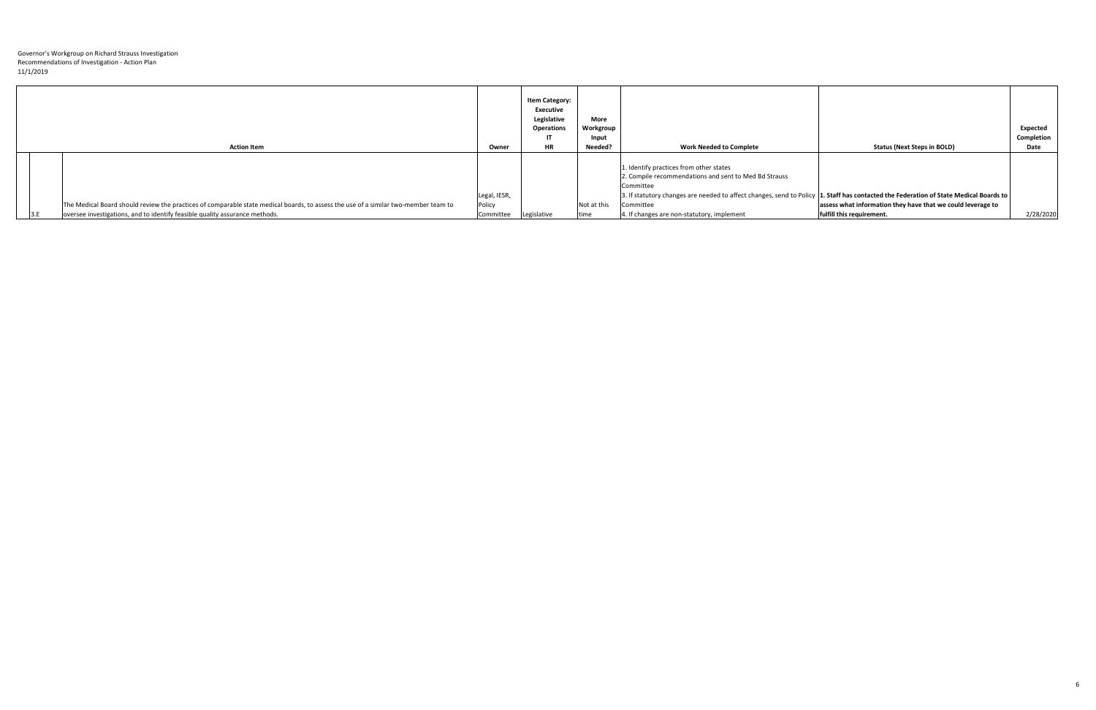| <b>Action Item</b>                                                                                                                                                                                                 | Owner                                           | <b>Item Category:</b><br><b>Executive</b><br>Legislative<br><b>Operations</b><br>- 17<br><b>HR</b> | <b>More</b><br>Workgroup<br>Input<br>Needed? | <b>Work Needed to Complete</b>                                                                                                                                                                                                                                                                                    | <b>Status (Next Steps in BOLD)</b>                                                       | <b>Expected</b><br>Completion<br>Date |
|--------------------------------------------------------------------------------------------------------------------------------------------------------------------------------------------------------------------|-------------------------------------------------|----------------------------------------------------------------------------------------------------|----------------------------------------------|-------------------------------------------------------------------------------------------------------------------------------------------------------------------------------------------------------------------------------------------------------------------------------------------------------------------|------------------------------------------------------------------------------------------|---------------------------------------|
| The Medical Board should review the practices of comparable state medical boards, to assess the use of a similar two-member team to<br>oversee investigations, and to identify feasible quality assurance methods. | Legal, IESR,<br>Policy<br>Committee Legislative |                                                                                                    | Not at this<br>time                          | 1. Identify practices from other states<br>2. Compile recommendations and sent to Med Bd Strauss<br>Committee<br>3. If statutory changes are needed to affect changes, send to Policy 1. Staff has contacted the Federation of State Medical Boards to<br>Committee<br>4. If changes are non-statutory, implement | assess what information they have that we could leverage to<br>fulfill this requirement. | 2/28/2020                             |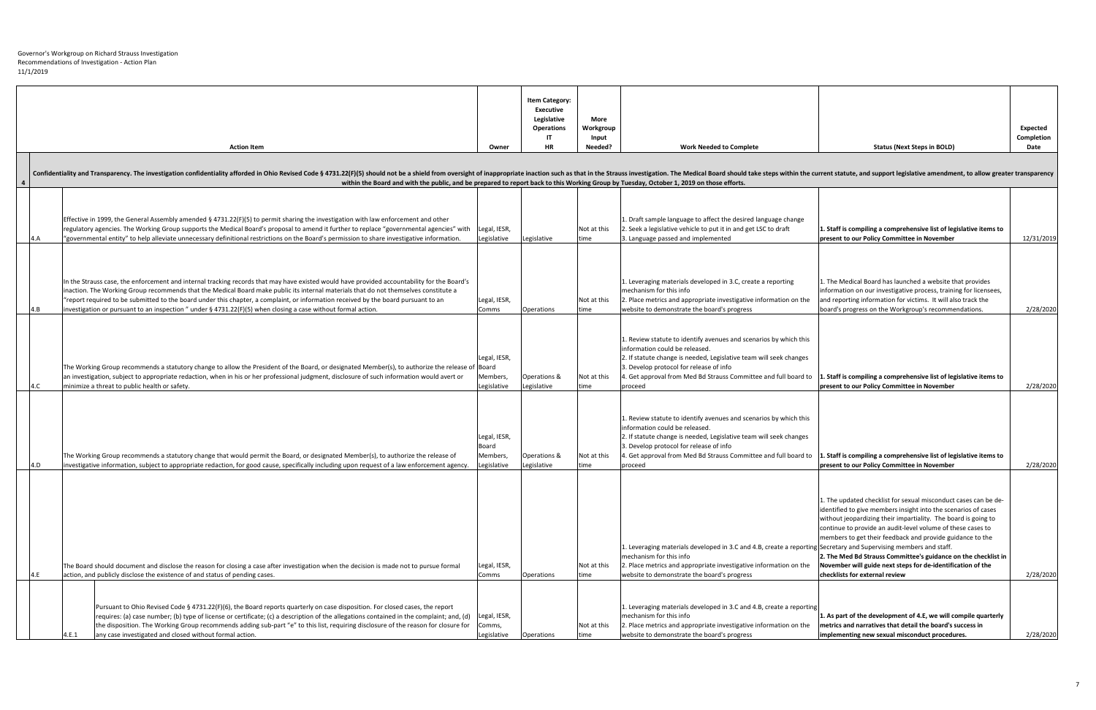|                | <b>Action Item</b>                                                                                                                                                                                                                                                                                                                                                                                                                                                                                                                        | Owner                                                   | <b>Item Category:</b><br><b>Executive</b><br>Legislative<br><b>Operations</b><br><b>HR</b> | More<br>Workgroup<br>Input<br>Needed? | <b>Work Needed to Complete</b>                                                                                                                                                                                                                                                                                                                                                | <b>Status (Next Steps in BOLD)</b>                                                                                                                                                                                                                                                                                                                                                                                                                                                                  | Expected<br>Completion<br>Date |
|----------------|-------------------------------------------------------------------------------------------------------------------------------------------------------------------------------------------------------------------------------------------------------------------------------------------------------------------------------------------------------------------------------------------------------------------------------------------------------------------------------------------------------------------------------------------|---------------------------------------------------------|--------------------------------------------------------------------------------------------|---------------------------------------|-------------------------------------------------------------------------------------------------------------------------------------------------------------------------------------------------------------------------------------------------------------------------------------------------------------------------------------------------------------------------------|-----------------------------------------------------------------------------------------------------------------------------------------------------------------------------------------------------------------------------------------------------------------------------------------------------------------------------------------------------------------------------------------------------------------------------------------------------------------------------------------------------|--------------------------------|
|                |                                                                                                                                                                                                                                                                                                                                                                                                                                                                                                                                           |                                                         |                                                                                            |                                       |                                                                                                                                                                                                                                                                                                                                                                               |                                                                                                                                                                                                                                                                                                                                                                                                                                                                                                     |                                |
| $\overline{4}$ | Confidentiality and Transparency. The investigation confidentiality afforded in Ohio Revised Code § 4731.22(F)(5) should not be a shield from oversight of inappropriate inaction such as that in the Strauss investigation. T<br>within the Board and with the public, and be prepared to report back to this Working Group by Tuesday, October 1, 2019 on those efforts.                                                                                                                                                                |                                                         |                                                                                            |                                       |                                                                                                                                                                                                                                                                                                                                                                               |                                                                                                                                                                                                                                                                                                                                                                                                                                                                                                     |                                |
|                |                                                                                                                                                                                                                                                                                                                                                                                                                                                                                                                                           |                                                         |                                                                                            |                                       |                                                                                                                                                                                                                                                                                                                                                                               |                                                                                                                                                                                                                                                                                                                                                                                                                                                                                                     |                                |
| 14.A           | Effective in 1999, the General Assembly amended § 4731.22(F)(5) to permit sharing the investigation with law enforcement and other<br>regulatory agencies. The Working Group supports the Medical Board's proposal to amend it further to replace "governmental agencies" with<br>"governmental entity" to help alleviate unnecessary definitional restrictions on the Board's permission to share investigative information.                                                                                                             | Legal, IESR,<br>Legislative                             | Legislative                                                                                | Not at this<br>time                   | 1. Draft sample language to affect the desired language change<br>2. Seek a legislative vehicle to put it in and get LSC to draft<br>3. Language passed and implemented                                                                                                                                                                                                       | 1. Staff is compiling a comprehensive list of legislative items to<br>present to our Policy Committee in November                                                                                                                                                                                                                                                                                                                                                                                   | 12/31/2019                     |
|                |                                                                                                                                                                                                                                                                                                                                                                                                                                                                                                                                           |                                                         |                                                                                            |                                       |                                                                                                                                                                                                                                                                                                                                                                               |                                                                                                                                                                                                                                                                                                                                                                                                                                                                                                     |                                |
| 4.B            | n the Strauss case, the enforcement and internal tracking records that may have existed would have provided accountability for the Board's<br>inaction. The Working Group recommends that the Medical Board make public its internal materials that do not themselves constitute a<br>'report required to be submitted to the board under this chapter, a complaint, or information received by the board pursuant to an<br>investigation or pursuant to an inspection " under § 4731.22(F)(5) when closing a case without formal action. | Legal, IESR,<br>Comms                                   | <b>Operations</b>                                                                          | Not at this<br>time                   | 1. Leveraging materials developed in 3.C, create a reporting<br>mechanism for this info<br>2. Place metrics and appropriate investigative information on the<br>website to demonstrate the board's progress                                                                                                                                                                   | 1. The Medical Board has launched a website that provides<br>information on our investigative process, training for licensees,<br>and reporting information for victims. It will also track the<br>board's progress on the Workgroup's recommendations.                                                                                                                                                                                                                                             | 2/28/2020                      |
|                |                                                                                                                                                                                                                                                                                                                                                                                                                                                                                                                                           |                                                         |                                                                                            |                                       |                                                                                                                                                                                                                                                                                                                                                                               |                                                                                                                                                                                                                                                                                                                                                                                                                                                                                                     |                                |
| 4.C            | The Working Group recommends a statutory change to allow the President of the Board, or designated Member(s), to authorize the release of Board<br>an investigation, subject to appropriate redaction, when in his or her professional judgment, disclosure of such information would avert or<br>minimize a threat to public health or safety.                                                                                                                                                                                           | Legal, IESR,<br>Members,<br>Legislative                 | Operations &<br>Legislative                                                                | Not at this<br>time                   | L. Review statute to identify avenues and scenarios by which this<br>information could be released.<br>2. If statute change is needed, Legislative team will seek changes<br>3. Develop protocol for release of info<br>I. Get approval from Med Bd Strauss Committee and full board to <b>[1. Staff is compiling a comprehensive list of legislative items to</b><br>proceed | present to our Policy Committee in November                                                                                                                                                                                                                                                                                                                                                                                                                                                         | 2/28/2020                      |
|                |                                                                                                                                                                                                                                                                                                                                                                                                                                                                                                                                           |                                                         |                                                                                            |                                       |                                                                                                                                                                                                                                                                                                                                                                               |                                                                                                                                                                                                                                                                                                                                                                                                                                                                                                     |                                |
| 4.D            | The Working Group recommends a statutory change that would permit the Board, or designated Member(s), to authorize the release of<br>investigative information, subject to appropriate redaction, for good cause, specifically including upon request of a law enforcement agency                                                                                                                                                                                                                                                         | Legal, IESR,<br><b>Board</b><br>Members,<br>Legislative | Operations &<br>Legislative                                                                | Not at this<br>time                   | L. Review statute to identify avenues and scenarios by which this<br>information could be released.<br>2. If statute change is needed, Legislative team will seek changes<br>3. Develop protocol for release of info<br>4. Get approval from Med Bd Strauss Committee and full board to<br>proceed                                                                            | 1. Staff is compiling a comprehensive list of legislative items to<br>present to our Policy Committee in November                                                                                                                                                                                                                                                                                                                                                                                   | 2/28/2020                      |
| 14.E           | The Board should document and disclose the reason for closing a case after investigation when the decision is made not to pursue formal<br>action, and publicly disclose the existence of and status of pending cases.                                                                                                                                                                                                                                                                                                                    | Legal, IESR,<br>Comms                                   | Operations                                                                                 | Not at this<br>time                   | l. Leveraging materials developed in 3.C and 4.B, create a reporting Secretary and Supervising members and staff.<br>mechanism for this info<br>2. Place metrics and appropriate investigative information on the<br>website to demonstrate the board's progress                                                                                                              | 1. The updated checklist for sexual misconduct cases can be de-<br>lidentified to give members insight into the scenarios of cases<br>without jeopardizing their impartiality. The board is going to<br>continue to provide an audit-level volume of these cases to<br>members to get their feedback and provide guidance to the<br>2. The Med Bd Strauss Committee's guidance on the checklist in<br>November will guide next steps for de-identification of the<br>checklists for external review | 2/28/2020                      |
|                |                                                                                                                                                                                                                                                                                                                                                                                                                                                                                                                                           |                                                         |                                                                                            |                                       |                                                                                                                                                                                                                                                                                                                                                                               |                                                                                                                                                                                                                                                                                                                                                                                                                                                                                                     |                                |
|                | Pursuant to Ohio Revised Code § 4731.22(F)(6), the Board reports quarterly on case disposition. For closed cases, the report<br>requires: (a) case number; (b) type of license or certificate; (c) a description of the allegations contained in the complaint; and, (d)<br>the disposition. The Working Group recommends adding sub-part "e" to this list, requiring disclosure of the reason for closure for<br>any case investigated and closed without formal action.                                                                 | Legal, IESR,<br>Comms,<br>Legislative                   | <b>Operations</b>                                                                          | Not at this<br>time                   | 1. Leveraging materials developed in 3.C and 4.B, create a reporting<br>mechanism for this info<br>2. Place metrics and appropriate investigative information on the<br>website to demonstrate the board's progress                                                                                                                                                           | 1. As part of the development of 4.E, we will compile quarterly<br>metrics and narratives that detail the board's success in<br>implementing new sexual misconduct procedures.                                                                                                                                                                                                                                                                                                                      | 2/28/2020                      |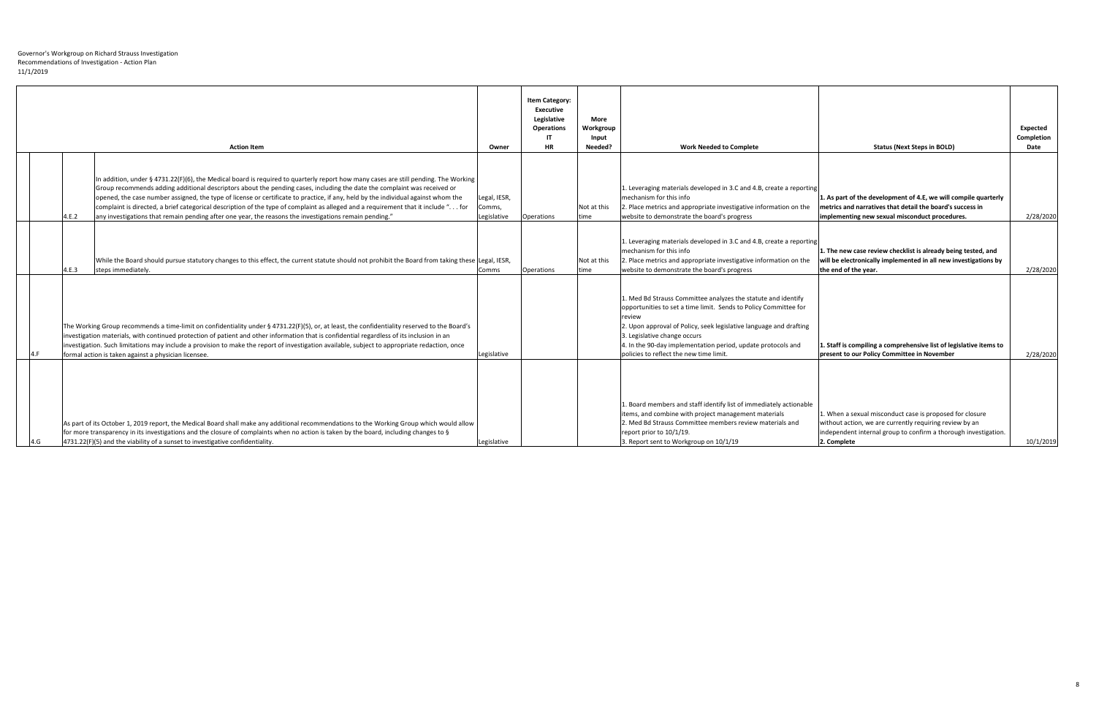|  |       | <b>Action Item</b>                                                                                                                                                                                                                                                                                                                                                                                                                                                                                                                                                                                                                                   | Owner                                 | <b>Item Category:</b><br><b>Executive</b><br>Legislative<br><b>Operations</b><br>-IT<br><b>HR</b> | <b>More</b><br>Workgroup<br>Input<br>Needed? | <b>Work Needed to Complete</b>                                                                                                                                                                                                                                                                                                                                     | <b>Status (Next Steps in BOLD)</b>                                                                                                                                                                    | Expected<br><b>Completion</b><br>Date |
|--|-------|------------------------------------------------------------------------------------------------------------------------------------------------------------------------------------------------------------------------------------------------------------------------------------------------------------------------------------------------------------------------------------------------------------------------------------------------------------------------------------------------------------------------------------------------------------------------------------------------------------------------------------------------------|---------------------------------------|---------------------------------------------------------------------------------------------------|----------------------------------------------|--------------------------------------------------------------------------------------------------------------------------------------------------------------------------------------------------------------------------------------------------------------------------------------------------------------------------------------------------------------------|-------------------------------------------------------------------------------------------------------------------------------------------------------------------------------------------------------|---------------------------------------|
|  | 4.E.2 | In addition, under § 4731.22(F)(6), the Medical board is required to quarterly report how many cases are still pending. The Working<br>Group recommends adding additional descriptors about the pending cases, including the date the complaint was received or<br>opened, the case number assigned, the type of license or certificate to practice, if any, held by the individual against whom the<br>complaint is directed, a brief categorical description of the type of complaint as alleged and a requirement that it include " for<br>any investigations that remain pending after one year, the reasons the investigations remain pending." | Legal, IESR,<br>Comms,<br>Legislative | Operations                                                                                        | Not at this<br>time                          | 1. Leveraging materials developed in 3.C and 4.B, create a reporting<br>mechanism for this info<br>2. Place metrics and appropriate investigative information on the<br>website to demonstrate the board's progress                                                                                                                                                | 1. As part of the development of 4.E, we will compile quarterly<br>metrics and narratives that detail the board's success in<br>implementing new sexual misconduct procedures.                        | 2/28/2020                             |
|  | 4.E.3 | While the Board should pursue statutory changes to this effect, the current statute should not prohibit the Board from taking these Legal, IESR,<br>steps immediately.                                                                                                                                                                                                                                                                                                                                                                                                                                                                               | Comms                                 | Operations                                                                                        | Not at this<br>time                          | 1. Leveraging materials developed in 3.C and 4.B, create a reporting<br>mechanism for this info<br>2. Place metrics and appropriate investigative information on the<br>website to demonstrate the board's progress                                                                                                                                                | 1. The new case review checklist is already being tested, and<br>will be electronically implemented in all new investigations by<br>the end of the year.                                              | 2/28/2020                             |
|  |       | The Working Group recommends a time-limit on confidentiality under § 4731.22(F)(5), or, at least, the confidentiality reserved to the Board's<br>investigation materials, with continued protection of patient and other information that is confidential regardless of its inclusion in an<br>investigation. Such limitations may include a provision to make the report of investigation available, subject to appropriate redaction, once<br>formal action is taken against a physician licensee.                                                                                                                                                 | Legislative                           |                                                                                                   |                                              | 1. Med Bd Strauss Committee analyzes the statute and identify<br>opportunities to set a time limit. Sends to Policy Committee for<br><b>review</b><br>2. Upon approval of Policy, seek legislative language and drafting<br>3. Legislative change occurs<br>4. In the 90-day implementation period, update protocols and<br>policies to reflect the new time limit | 1. Staff is compiling a comprehensive list of legislative items to<br>present to our Policy Committee in November                                                                                     | 2/28/2020                             |
|  |       | As part of its October 1, 2019 report, the Medical Board shall make any additional recommendations to the Working Group which would allow<br>for more transparency in its investigations and the closure of complaints when no action is taken by the board, including changes to §<br>$4731.22(F)(5)$ and the viability of a sunset to investigative confidentiality.                                                                                                                                                                                                                                                                               | Legislative                           |                                                                                                   |                                              | 1. Board members and staff identify list of immediately actionable<br>litems, and combine with project management materials<br>2. Med Bd Strauss Committee members review materials and<br>report prior to 10/1/19.<br>3. Report sent to Workgroup on 10/1/19                                                                                                      | 1. When a sexual misconduct case is proposed for closure<br>without action, we are currently requiring review by an<br>independent internal group to confirm a thorough investigation.<br>2. Complete | 10/1/2019                             |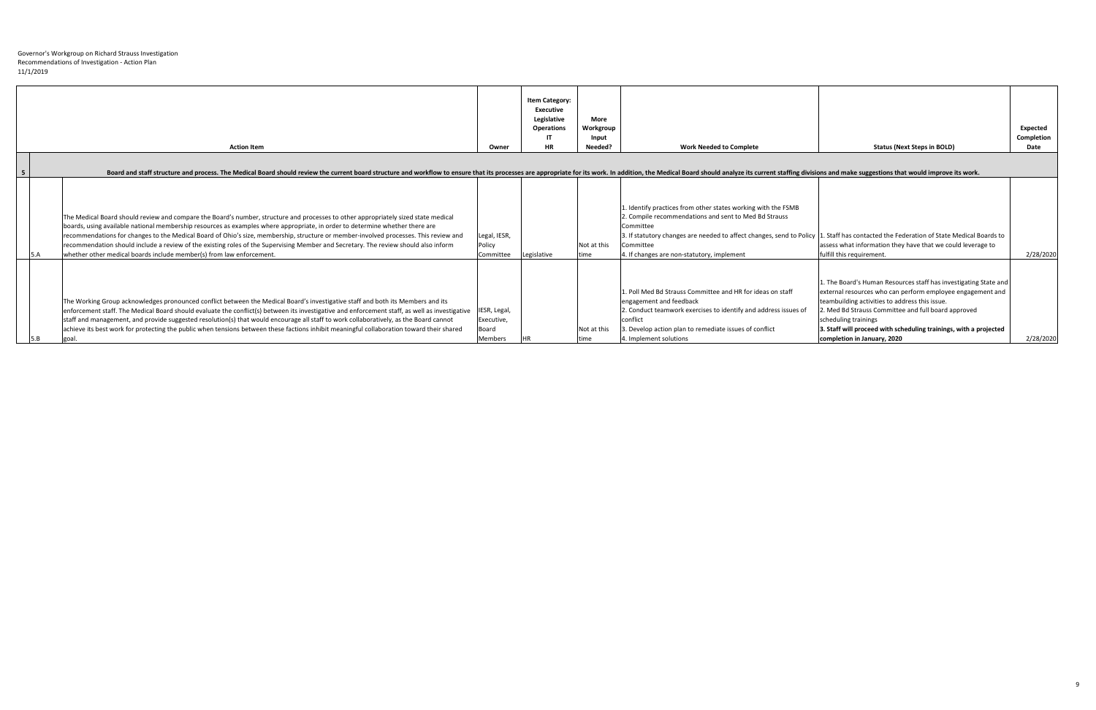|      | <b>Action Item</b>                                                                                                                                                                                                                                                                                                                                                                                                                                                                                                                                                                                                        | Owner                               | <b>Item Category:</b><br>Executive<br>Legislative<br><b>Operations</b><br>ा<br><b>HR</b> | <b>More</b><br>Workgroup<br>Input<br>Needed? | <b>Work Needed to Complete</b>                                                                                                                                                                                                                                                                                                           | <b>Status (Next Steps in BOLD)</b>                                                                                                                                                                                                                                                                                                                                    | <b>Expected</b><br>Completion<br>Date |
|------|---------------------------------------------------------------------------------------------------------------------------------------------------------------------------------------------------------------------------------------------------------------------------------------------------------------------------------------------------------------------------------------------------------------------------------------------------------------------------------------------------------------------------------------------------------------------------------------------------------------------------|-------------------------------------|------------------------------------------------------------------------------------------|----------------------------------------------|------------------------------------------------------------------------------------------------------------------------------------------------------------------------------------------------------------------------------------------------------------------------------------------------------------------------------------------|-----------------------------------------------------------------------------------------------------------------------------------------------------------------------------------------------------------------------------------------------------------------------------------------------------------------------------------------------------------------------|---------------------------------------|
|      | Board and staff structure and process. The Medical Board should review the current board structure and workflow to ensure that its processes are appropriate for its work. In addition, the Medical Board should analyze its c                                                                                                                                                                                                                                                                                                                                                                                            |                                     |                                                                                          |                                              |                                                                                                                                                                                                                                                                                                                                          |                                                                                                                                                                                                                                                                                                                                                                       |                                       |
|      | The Medical Board should review and compare the Board's number, structure and processes to other appropriately sized state medical<br>boards, using available national membership resources as examples where appropriate, in order to determine whether there are<br>recommendations for changes to the Medical Board of Ohio's size, membership, structure or member-involved processes. This review and<br>recommendation should include a review of the existing roles of the Supervising Member and Secretary. The review should also inform<br>whether other medical boards include member(s) from law enforcement. | Legal, IESR,<br>Policy<br>Committee | Legislative                                                                              | Not at this<br>time                          | L. Identify practices from other states working with the FSMB<br>2. Compile recommendations and sent to Med Bd Strauss<br>Committee<br>3. If statutory changes are needed to affect changes, send to Policy  1. Staff has contacted the Federation of State Medical Boards to<br>Committee<br>4. If changes are non-statutory, implement | assess what information they have that we could leverage to<br>fulfill this requirement.                                                                                                                                                                                                                                                                              | 2/28/2020                             |
| goal | The Working Group acknowledges pronounced conflict between the Medical Board's investigative staff and both its Members and its<br>enforcement staff. The Medical Board should evaluate the conflict(s) between its investigative and enforcement staff, as well as investigative  IESR, Legal,<br>staff and management, and provide suggested resolution(s) that would encourage all staff to work collaboratively, as the Board cannot<br>achieve its best work for protecting the public when tensions between these factions inhibit meaningful collaboration toward their shared                                     | Executive,<br>Board<br>Members      |                                                                                          | Not at this                                  | 1. Poll Med Bd Strauss Committee and HR for ideas on staff<br>engagement and feedback<br>2. Conduct teamwork exercises to identify and address issues of<br>conflict<br>3. Develop action plan to remediate issues of conflict<br>4. Implement solutions                                                                                 | 1. The Board's Human Resources staff has investigating State and  <br>external resources who can perform employee engagement and<br>teambuilding activities to address this issue.<br>2. Med Bd Strauss Committee and full board approved<br>scheduling trainings<br>3. Staff will proceed with scheduling trainings, with a projected<br>completion in January, 2020 | 2/28/2020                             |

|   | <b>Action Item</b>                                                                                                                                                                                                                                                                                                                                                                                                                                                                                                                                                                                                                | Owner                                                 | <b>Item Category:</b><br><b>Executive</b><br>Legislative<br><b>Operations</b><br>-IT<br><b>HR</b> | <b>More</b><br>Workgroup<br>Input<br>Needed? | <b>Work Needed to Complete</b>                                                                                                                                                                                                                                                                                                          | <b>Status (Next Steps in BOLD)</b>                                                                                                                                                                                                                                                                                                                                  | <b>Expected</b><br>Completion<br>Date |
|---|-----------------------------------------------------------------------------------------------------------------------------------------------------------------------------------------------------------------------------------------------------------------------------------------------------------------------------------------------------------------------------------------------------------------------------------------------------------------------------------------------------------------------------------------------------------------------------------------------------------------------------------|-------------------------------------------------------|---------------------------------------------------------------------------------------------------|----------------------------------------------|-----------------------------------------------------------------------------------------------------------------------------------------------------------------------------------------------------------------------------------------------------------------------------------------------------------------------------------------|---------------------------------------------------------------------------------------------------------------------------------------------------------------------------------------------------------------------------------------------------------------------------------------------------------------------------------------------------------------------|---------------------------------------|
| 5 | Board and staff structure and process. The Medical Board should review the current board structure and workflow to ensure that its processes are appropriate for its work. In addition, the Medical Board should analyze its c                                                                                                                                                                                                                                                                                                                                                                                                    |                                                       |                                                                                                   |                                              |                                                                                                                                                                                                                                                                                                                                         |                                                                                                                                                                                                                                                                                                                                                                     |                                       |
|   | The Medical Board should review and compare the Board's number, structure and processes to other appropriately sized state medical<br>boards, using available national membership resources as examples where appropriate, in order to determine whether there are<br>recommendations for changes to the Medical Board of Ohio's size, membership, structure or member-involved processes. This review and<br>recommendation should include a review of the existing roles of the Supervising Member and Secretary. The review should also inform<br>whether other medical boards include member(s) from law enforcement.<br>15.A | Legal, IESR,<br>Policy<br>Committee                   | Legislative                                                                                       | Not at this<br><b>Itime</b>                  | 1. Identify practices from other states working with the FSMB<br>2. Compile recommendations and sent to Med Bd Strauss<br>Committee<br>3. If statutory changes are needed to affect changes, send to Policy 1. Staff has contacted the Federation of State Medical Boards to<br>Committee<br>4. If changes are non-statutory, implement | assess what information they have that we could leverage to<br>fulfill this requirement.                                                                                                                                                                                                                                                                            | 2/28/2020                             |
|   | The Working Group acknowledges pronounced conflict between the Medical Board's investigative staff and both its Members and its<br>enforcement staff. The Medical Board should evaluate the conflict(s) between its investigative and enforcement staff, as well as investigative<br>staff and management, and provide suggested resolution(s) that would encourage all staff to work collaboratively, as the Board cannot<br>achieve its best work for protecting the public when tensions between these factions inhibit meaningful collaboration toward their shared<br>goal.                                                  | IESR, Legal,<br>Executive,<br>Board<br><b>Members</b> |                                                                                                   | Not at this<br><b>Itime</b>                  | 1. Poll Med Bd Strauss Committee and HR for ideas on staff<br>engagement and feedback<br>2. Conduct teamwork exercises to identify and address issues of<br>conflict<br>3. Develop action plan to remediate issues of conflict<br>4. Implement solutions                                                                                | 1. The Board's Human Resources staff has investigating State and<br>external resources who can perform employee engagement and<br>teambuilding activities to address this issue.<br>2. Med Bd Strauss Committee and full board approved<br>scheduling trainings<br>3. Staff will proceed with scheduling trainings, with a projected<br>completion in January, 2020 | 2/28/2020                             |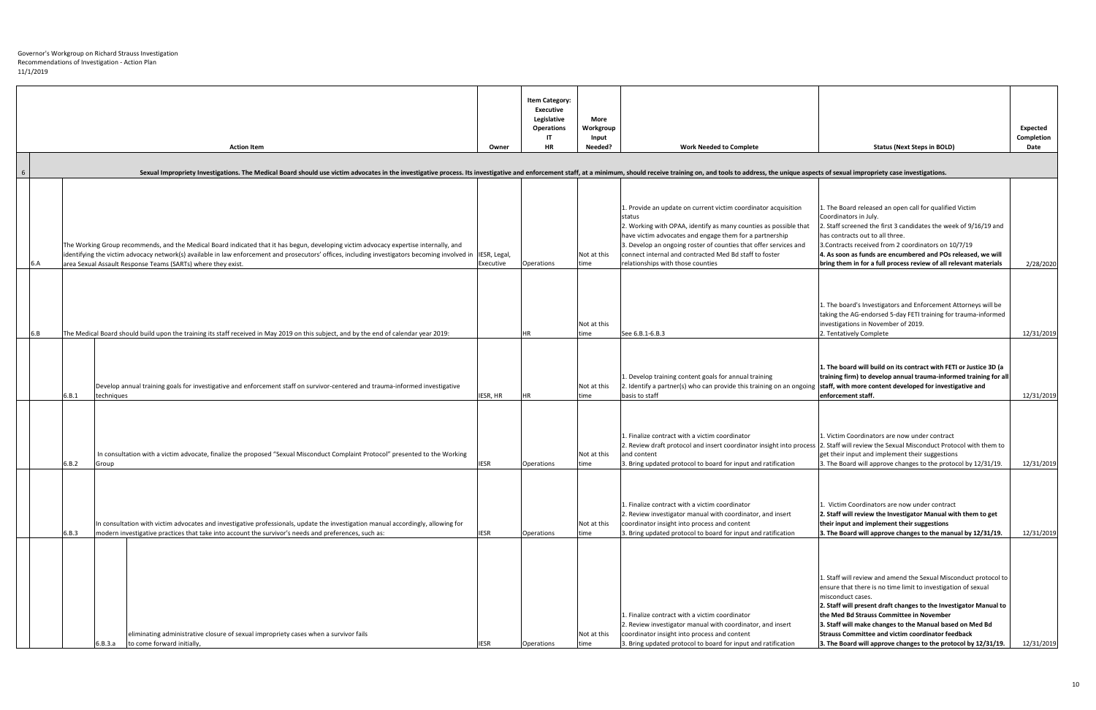|     |       | <b>Action Item</b>                                                                                                                                                                                                                                                                                                                                                    | Owner       | <b>Item Category:</b><br><b>Executive</b><br>Legislative<br><b>Operations</b><br>-IT<br><b>HR</b> | <b>More</b><br>Workgroup<br>Input<br>Needed? | <b>Work Needed to Complete</b>                                                                                                                                                                                                                                                                                                                                             | <b>Status (Next Steps in BOLD)</b>                                                                                                                                                                                                                                                                                                                                                                                                                                | <b>Expected</b><br>Completion<br>Date |
|-----|-------|-----------------------------------------------------------------------------------------------------------------------------------------------------------------------------------------------------------------------------------------------------------------------------------------------------------------------------------------------------------------------|-------------|---------------------------------------------------------------------------------------------------|----------------------------------------------|----------------------------------------------------------------------------------------------------------------------------------------------------------------------------------------------------------------------------------------------------------------------------------------------------------------------------------------------------------------------------|-------------------------------------------------------------------------------------------------------------------------------------------------------------------------------------------------------------------------------------------------------------------------------------------------------------------------------------------------------------------------------------------------------------------------------------------------------------------|---------------------------------------|
|     |       | Sexual Impropriety Investigations. The Medical Board should use victim advocates in the investigative process. Its investigative and enforcement staff, at a minimum, should receive training on, and tools to address, the un                                                                                                                                        |             |                                                                                                   |                                              |                                                                                                                                                                                                                                                                                                                                                                            |                                                                                                                                                                                                                                                                                                                                                                                                                                                                   |                                       |
| 6.A |       | The Working Group recommends, and the Medical Board indicated that it has begun, developing victim advocacy expertise internally, and<br>identifying the victim advocacy network(s) available in law enforcement and prosecutors' offices, including investigators becoming involved in IIESR, Legal,<br>area Sexual Assault Response Teams (SARTs) where they exist. | Executive   | Operations                                                                                        | Not at this<br>time                          | 1. Provide an update on current victim coordinator acquisition<br>status<br>2. Working with OPAA, identify as many counties as possible that<br>have victim advocates and engage them for a partnership<br>3. Develop an ongoing roster of counties that offer services and<br>connect internal and contracted Med Bd staff to foster<br>relationships with those counties | 1. The Board released an open call for qualified Victim<br>Coordinators in July.<br>2. Staff screened the first 3 candidates the week of 9/16/19 and<br>has contracts out to all three.<br>3. Contracts received from 2 coordinators on 10/7/19<br>4. As soon as funds are encumbered and POs released, we will<br>bring them in for a full process review of all relevant materials                                                                              | 2/28/2020                             |
| 6.B |       | The Medical Board should build upon the training its staff received in May 2019 on this subject, and by the end of calendar year 2019:                                                                                                                                                                                                                                |             | НR                                                                                                | Not at this<br>time                          | See 6.B.1-6.B.3                                                                                                                                                                                                                                                                                                                                                            | 1. The board's Investigators and Enforcement Attorneys will be<br>taking the AG-endorsed 5-day FETI training for trauma-informed<br>investigations in November of 2019.<br>2. Tentatively Complete                                                                                                                                                                                                                                                                | 12/31/2019                            |
|     | 6.B.1 | Develop annual training goals for investigative and enforcement staff on survivor-centered and trauma-informed investigative<br>techniques                                                                                                                                                                                                                            | IESR, HR    |                                                                                                   | Not at this<br>time                          | 1. Develop training content goals for annual training<br>2. Identify a partner(s) who can provide this training on an ongoing<br>basis to staff                                                                                                                                                                                                                            | 1. The board will build on its contract with FETI or Justice 3D (a<br>training firm) to develop annual trauma-informed training for all<br>staff, with more content developed for investigative and<br>enforcement staff.                                                                                                                                                                                                                                         | 12/31/2019                            |
|     | 6.B.2 | In consultation with a victim advocate, finalize the proposed "Sexual Misconduct Complaint Protocol" presented to the Working<br>Group                                                                                                                                                                                                                                | <b>IESR</b> | Operations                                                                                        | Not at this<br>time                          | 1. Finalize contract with a victim coordinator<br>2. Review draft protocol and insert coordinator insight into process<br>and content<br>3. Bring updated protocol to board for input and ratification                                                                                                                                                                     | 1. Victim Coordinators are now under contract<br>2. Staff will review the Sexual Misconduct Protocol with them to<br>get their input and implement their suggestions<br>3. The Board will approve changes to the protocol by 12/31/19.                                                                                                                                                                                                                            | 12/31/2019                            |
|     | 6.B.3 | In consultation with victim advocates and investigative professionals, update the investigation manual accordingly, allowing for<br>modern investigative practices that take into account the survivor's needs and preferences, such as:                                                                                                                              | <b>IESR</b> | Operations                                                                                        | Not at this<br>time                          | 1. Finalize contract with a victim coordinator<br>2. Review investigator manual with coordinator, and insert<br>coordinator insight into process and content<br>3. Bring updated protocol to board for input and ratification                                                                                                                                              | . Victim Coordinators are now under contract<br>2. Staff will review the Investigator Manual with them to get<br>their input and implement their suggestions<br>3. The Board will approve changes to the manual by 12/31/19.                                                                                                                                                                                                                                      | 12/31/2019                            |
|     |       | eliminating administrative closure of sexual impropriety cases when a survivor fails<br>6.B.3.a<br>to come forward initially,                                                                                                                                                                                                                                         | IESR        | Operations                                                                                        | Not at this<br>time                          | 1. Finalize contract with a victim coordinator<br>2. Review investigator manual with coordinator, and insert<br>coordinator insight into process and content<br>3. Bring updated protocol to board for input and ratification                                                                                                                                              | 1. Staff will review and amend the Sexual Misconduct protocol to<br>ensure that there is no time limit to investigation of sexual<br>misconduct cases.<br>2. Staff will present draft changes to the Investigator Manual to<br>the Med Bd Strauss Committee in November<br>3. Staff will make changes to the Manual based on Med Bd<br><b>Strauss Committee and victim coordinator feedback</b><br>3. The Board will approve changes to the protocol by 12/31/19. | 12/31/2019                            |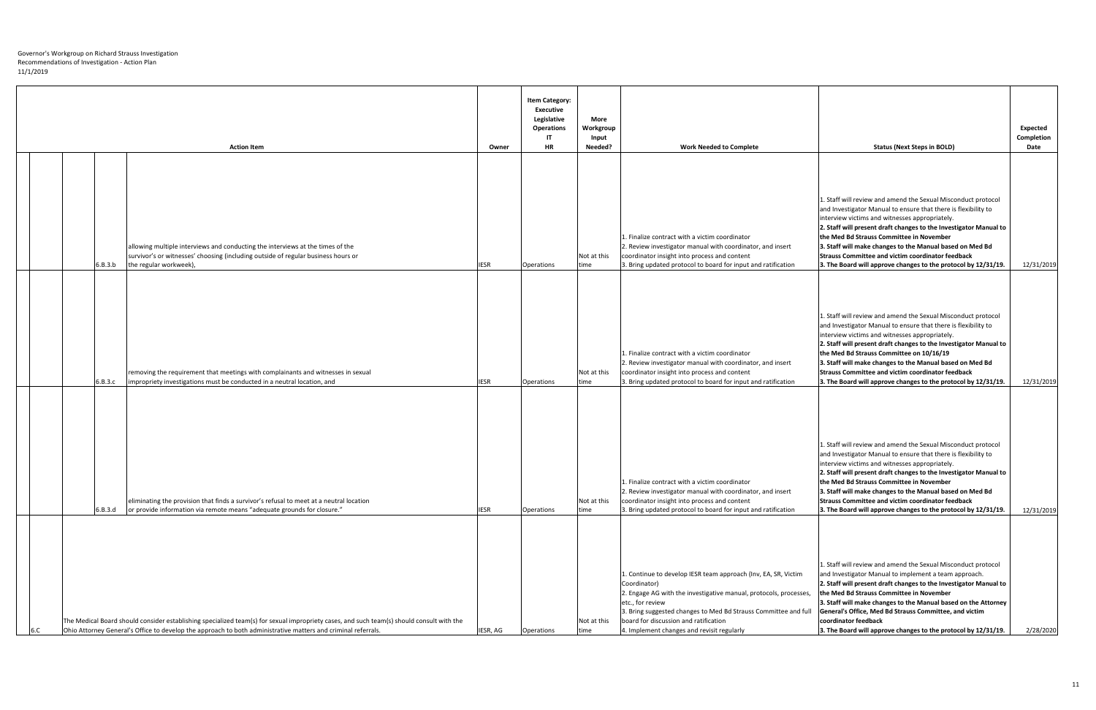|  |         | <b>Action Item</b>                                                                                                                                                                                                                                         | Owner       | <b>Item Category:</b><br><b>Executive</b><br>Legislative<br><b>Operations</b><br>-IT<br><b>HR</b> | <b>More</b><br>Workgroup<br>Input<br>Needed? | <b>Work Needed to Complete</b>                                                                                                                                                                                                                                                                                                    | <b>Status (Next Steps in BOLD)</b>                                                                                                                                                                                                                                                                                                                                                                                                                                                           | Expected<br><b>Completion</b><br>Date |
|--|---------|------------------------------------------------------------------------------------------------------------------------------------------------------------------------------------------------------------------------------------------------------------|-------------|---------------------------------------------------------------------------------------------------|----------------------------------------------|-----------------------------------------------------------------------------------------------------------------------------------------------------------------------------------------------------------------------------------------------------------------------------------------------------------------------------------|----------------------------------------------------------------------------------------------------------------------------------------------------------------------------------------------------------------------------------------------------------------------------------------------------------------------------------------------------------------------------------------------------------------------------------------------------------------------------------------------|---------------------------------------|
|  |         |                                                                                                                                                                                                                                                            |             |                                                                                                   |                                              |                                                                                                                                                                                                                                                                                                                                   |                                                                                                                                                                                                                                                                                                                                                                                                                                                                                              |                                       |
|  | 6.B.3.b | allowing multiple interviews and conducting the interviews at the times of the<br>survivor's or witnesses' choosing (including outside of regular business hours or<br>the regular workweek),                                                              | <b>IESR</b> | Operations                                                                                        | Not at this<br>time                          | 1. Finalize contract with a victim coordinator<br>2. Review investigator manual with coordinator, and insert<br>coordinator insight into process and content<br>3. Bring updated protocol to board for input and ratification                                                                                                     | 1. Staff will review and amend the Sexual Misconduct protocol<br>and Investigator Manual to ensure that there is flexibility to<br>interview victims and witnesses appropriately.<br>2. Staff will present draft changes to the Investigator Manual to<br>the Med Bd Strauss Committee in November<br>3. Staff will make changes to the Manual based on Med Bd<br><b>Strauss Committee and victim coordinator feedback</b><br>3. The Board will approve changes to the protocol by 12/31/19. | 12/31/2019                            |
|  | 6.B.3.c | removing the requirement that meetings with complainants and witnesses in sexual<br>impropriety investigations must be conducted in a neutral location, and                                                                                                | <b>IESR</b> | Operations                                                                                        | Not at this<br>time                          | 1. Finalize contract with a victim coordinator<br>2. Review investigator manual with coordinator, and insert<br>coordinator insight into process and content<br>3. Bring updated protocol to board for input and ratification                                                                                                     | 1. Staff will review and amend the Sexual Misconduct protocol<br>and Investigator Manual to ensure that there is flexibility to<br>interview victims and witnesses appropriately.<br>2. Staff will present draft changes to the Investigator Manual to<br>the Med Bd Strauss Committee on 10/16/19<br>3. Staff will make changes to the Manual based on Med Bd<br><b>Strauss Committee and victim coordinator feedback</b><br>3. The Board will approve changes to the protocol by 12/31/19. | 12/31/2019                            |
|  | 6.B.3.d | eliminating the provision that finds a survivor's refusal to meet at a neutral location<br>or provide information via remote means "adequate grounds for closure."                                                                                         | <b>IESR</b> | Operations                                                                                        | Not at this<br>time                          | 1. Finalize contract with a victim coordinator<br>2. Review investigator manual with coordinator, and insert<br>coordinator insight into process and content<br>3. Bring updated protocol to board for input and ratification                                                                                                     | 1. Staff will review and amend the Sexual Misconduct protocol<br>and Investigator Manual to ensure that there is flexibility to<br>interview victims and witnesses appropriately.<br>2. Staff will present draft changes to the Investigator Manual to<br>the Med Bd Strauss Committee in November<br>3. Staff will make changes to the Manual based on Med Bd<br><b>Strauss Committee and victim coordinator feedback</b><br>3. The Board will approve changes to the protocol by 12/31/19. | 12/31/2019                            |
|  |         | The Medical Board should consider establishing specialized team(s) for sexual impropriety cases, and such team(s) should consult with the<br>Ohio Attorney General's Office to develop the approach to both administrative matters and criminal referrals. | IESR, AG    | Operations                                                                                        | Not at this<br>time                          | 1. Continue to develop IESR team approach (Inv, EA, SR, Victim<br>Coordinator)<br>2. Engage AG with the investigative manual, protocols, processes,<br>etc., for review<br>3. Bring suggested changes to Med Bd Strauss Committee and full<br>board for discussion and ratification<br>4. Implement changes and revisit regularly | 1. Staff will review and amend the Sexual Misconduct protocol<br>and Investigator Manual to implement a team approach.<br>2. Staff will present draft changes to the Investigator Manual to<br>the Med Bd Strauss Committee in November<br>3. Staff will make changes to the Manual based on the Attorney<br>General's Office, Med Bd Strauss Committee, and victim<br>coordinator feedback<br>3. The Board will approve changes to the protocol by 12/31/19.                                | 2/28/2020                             |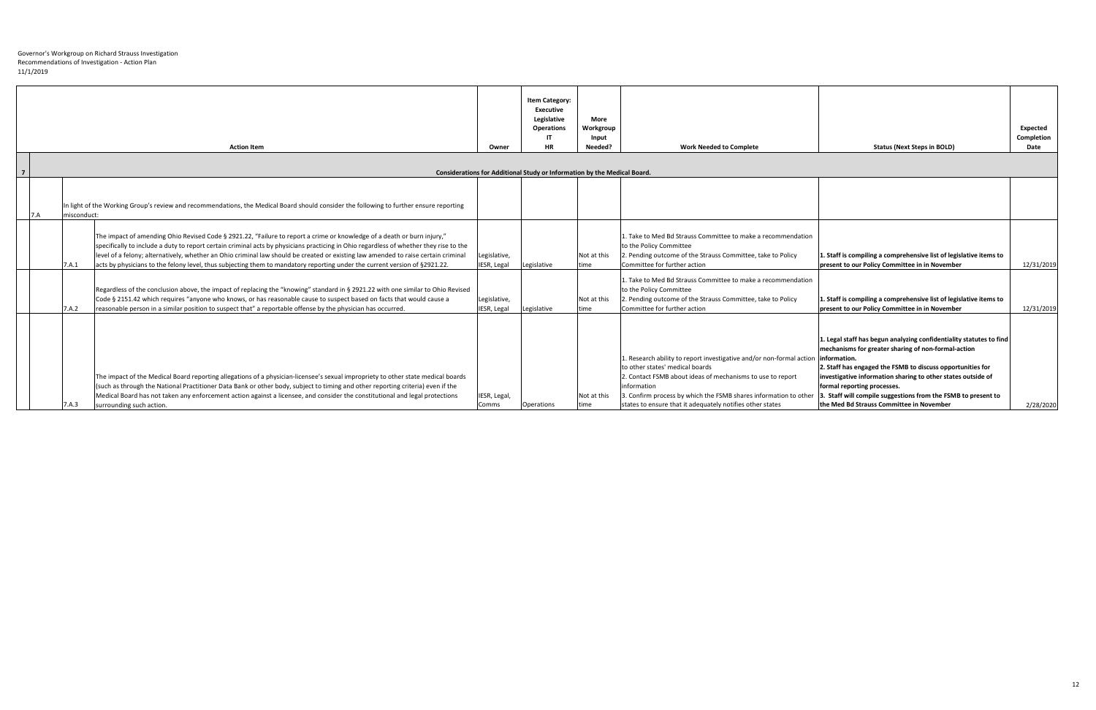|                |                                                                          | <b>Action Item</b>                                                                                                                                                                                                                                                                                                                                                                                                                                                                                                                    | Owner                       | <b>Item Category:</b><br><b>Executive</b><br>Legislative<br><b>Operations</b><br>-IT<br>HR | <b>More</b><br>Workgroup<br>Input<br>Needed? | <b>Work Needed to Complete</b>                                                                                                                                                                                                                                                                                        | <b>Status (Next Steps in BOLD)</b>                                                                                                                                                                                                                                                                                                                                                                                    | Expected<br><b>Completion</b><br>Date |
|----------------|--------------------------------------------------------------------------|---------------------------------------------------------------------------------------------------------------------------------------------------------------------------------------------------------------------------------------------------------------------------------------------------------------------------------------------------------------------------------------------------------------------------------------------------------------------------------------------------------------------------------------|-----------------------------|--------------------------------------------------------------------------------------------|----------------------------------------------|-----------------------------------------------------------------------------------------------------------------------------------------------------------------------------------------------------------------------------------------------------------------------------------------------------------------------|-----------------------------------------------------------------------------------------------------------------------------------------------------------------------------------------------------------------------------------------------------------------------------------------------------------------------------------------------------------------------------------------------------------------------|---------------------------------------|
| $\overline{7}$ | Considerations for Additional Study or Information by the Medical Board. |                                                                                                                                                                                                                                                                                                                                                                                                                                                                                                                                       |                             |                                                                                            |                                              |                                                                                                                                                                                                                                                                                                                       |                                                                                                                                                                                                                                                                                                                                                                                                                       |                                       |
|                | misconduct:                                                              | In light of the Working Group's review and recommendations, the Medical Board should consider the following to further ensure reporting                                                                                                                                                                                                                                                                                                                                                                                               |                             |                                                                                            |                                              |                                                                                                                                                                                                                                                                                                                       |                                                                                                                                                                                                                                                                                                                                                                                                                       |                                       |
|                | 7.A.1                                                                    | The impact of amending Ohio Revised Code § 2921.22, "Failure to report a crime or knowledge of a death or burn injury,"<br>specifically to include a duty to report certain criminal acts by physicians practicing in Ohio regardless of whether they rise to the<br>level of a felony; alternatively, whether an Ohio criminal law should be created or existing law amended to raise certain criminal<br>acts by physicians to the felony level, thus subjecting them to mandatory reporting under the current version of §2921.22. | Legislative,<br>IESR, Legal | Legislative                                                                                | Not at this<br>time                          | 1. Take to Med Bd Strauss Committee to make a recommendation<br>to the Policy Committee<br>2. Pending outcome of the Strauss Committee, take to Policy<br>Committee for further action                                                                                                                                | 1. Staff is compiling a comprehensive list of legislative items to<br>present to our Policy Committee in in November                                                                                                                                                                                                                                                                                                  | 12/31/2019                            |
|                | 7.A.2                                                                    | Regardless of the conclusion above, the impact of replacing the "knowing" standard in § 2921.22 with one similar to Ohio Revised<br>Code § 2151.42 which requires "anyone who knows, or has reasonable cause to suspect based on facts that would cause a<br>reasonable person in a similar position to suspect that" a reportable offense by the physician has occurred.                                                                                                                                                             | Legislative,<br>IESR, Legal | Legislative                                                                                | Not at this<br>time                          | 1. Take to Med Bd Strauss Committee to make a recommendation<br>to the Policy Committee<br>2. Pending outcome of the Strauss Committee, take to Policy<br>Committee for further action                                                                                                                                | 1. Staff is compiling a comprehensive list of legislative items to<br>present to our Policy Committee in in November                                                                                                                                                                                                                                                                                                  | 12/31/2019                            |
|                | 7.A.3                                                                    | The impact of the Medical Board reporting allegations of a physician-licensee's sexual impropriety to other state medical boards<br>(such as through the National Practitioner Data Bank or other body, subject to timing and other reporting criteria) even if the<br>Medical Board has not taken any enforcement action against a licensee, and consider the constitutional and legal protections<br>surrounding such action.                                                                                                       | IESR, Legal<br>Comms        | Operations                                                                                 | Not at this<br>time                          | 1. Research ability to report investigative and/or non-formal action<br>to other states' medical boards<br>2. Contact FSMB about ideas of mechanisms to use to report<br>information<br>3. Confirm process by which the FSMB shares information to other<br>states to ensure that it adequately notifies other states | 1. Legal staff has begun analyzing confidentiality statutes to find<br>mechanisms for greater sharing of non-formal-action<br>linformation.<br>2. Staff has engaged the FSMB to discuss opportunities for<br>investigative information sharing to other states outside of<br>formal reporting processes.<br>3. Staff will compile suggestions from the FSMB to present to<br>the Med Bd Strauss Committee in November | 2/28/2020                             |

## 12